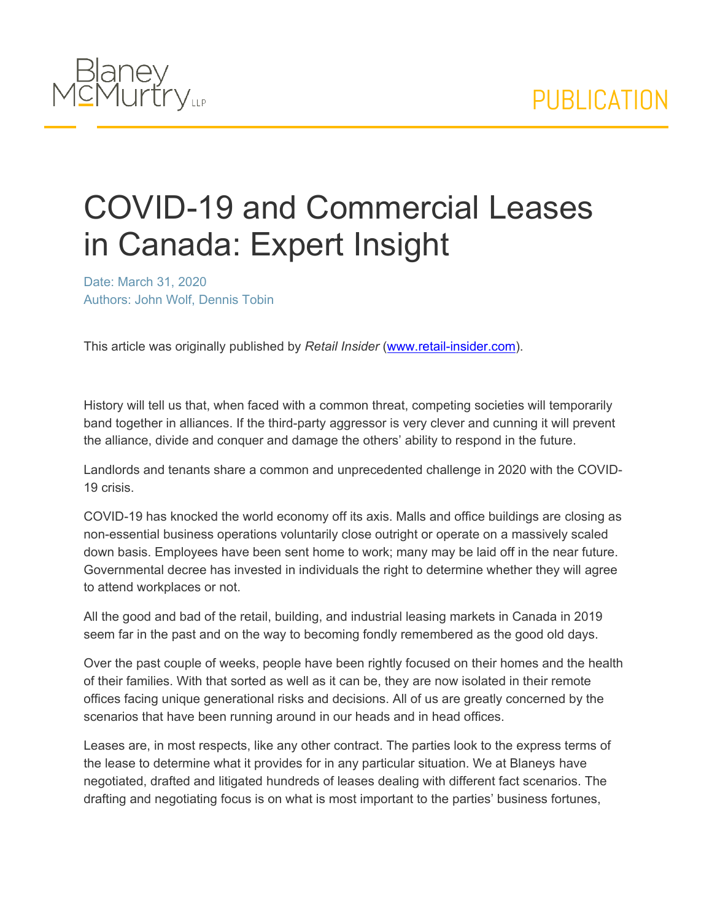

## COVID-19 and Commercial Leases in Canada: Expert Insight

Date: March 31, 2020 Authors: John Wolf, Dennis Tobin

This article was originally published by *Retail Insider* ([www.retail-insider.com\)](https://www.retail-insider.com/retail-insider/2020/3/covid-19-and-commercial-leases-in-canada-expert-insight).

History will tell us that, when faced with a common threat, competing societies will temporarily band together in alliances. If the third-party aggressor is very clever and cunning it will prevent the alliance, divide and conquer and damage the others' ability to respond in the future.

Landlords and tenants share a common and unprecedented challenge in 2020 with the COVID-19 crisis.

COVID-19 has knocked the world economy off its axis. Malls and office buildings are closing as non-essential business operations voluntarily close outright or operate on a massively scaled down basis. Employees have been sent home to work; many may be laid off in the near future. Governmental decree has invested in individuals the right to determine whether they will agree to attend workplaces or not.

All the good and bad of the retail, building, and industrial leasing markets in Canada in 2019 seem far in the past and on the way to becoming fondly remembered as the good old days.

Over the past couple of weeks, people have been rightly focused on their homes and the health of their families. With that sorted as well as it can be, they are now isolated in their remote offices facing unique generational risks and decisions. All of us are greatly concerned by the scenarios that have been running around in our heads and in head offices.

Leases are, in most respects, like any other contract. The parties look to the express terms of the lease to determine what it provides for in any particular situation. We at Blaneys have negotiated, drafted and litigated hundreds of leases dealing with different fact scenarios. The drafting and negotiating focus is on what is most important to the parties' business fortunes,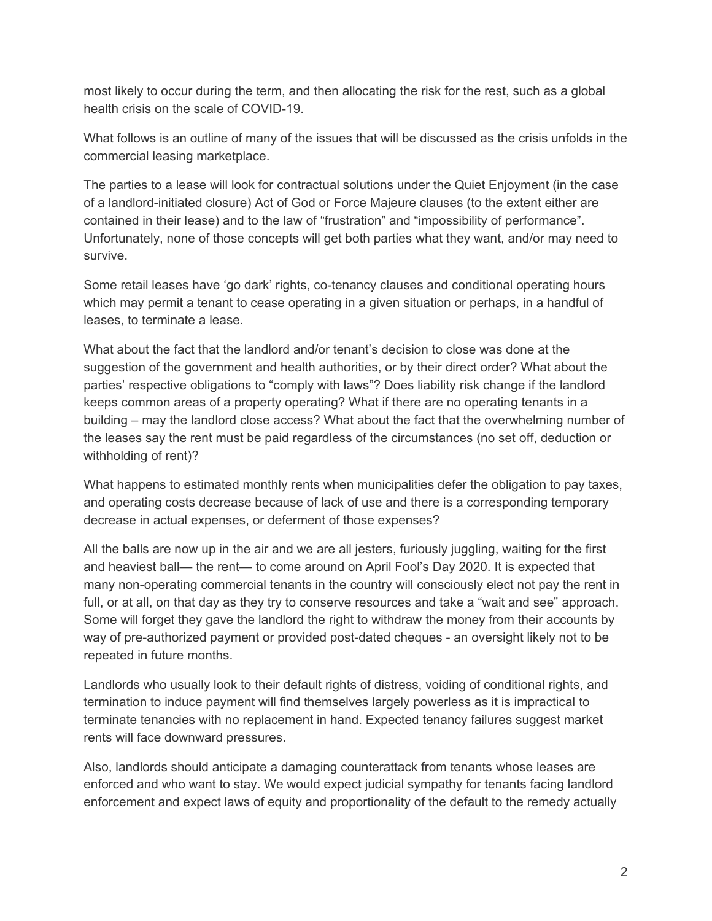most likely to occur during the term, and then allocating the risk for the rest, such as a global health crisis on the scale of COVID-19.

What follows is an outline of many of the issues that will be discussed as the crisis unfolds in the commercial leasing marketplace.

The parties to a lease will look for contractual solutions under the Quiet Enjoyment (in the case of a landlord-initiated closure) Act of God or Force Majeure clauses (to the extent either are contained in their lease) and to the law of "frustration" and "impossibility of performance". Unfortunately, none of those concepts will get both parties what they want, and/or may need to survive.

Some retail leases have 'go dark' rights, co-tenancy clauses and conditional operating hours which may permit a tenant to cease operating in a given situation or perhaps, in a handful of leases, to terminate a lease.

What about the fact that the landlord and/or tenant's decision to close was done at the suggestion of the government and health authorities, or by their direct order? What about the parties' respective obligations to "comply with laws"? Does liability risk change if the landlord keeps common areas of a property operating? What if there are no operating tenants in a building – may the landlord close access? What about the fact that the overwhelming number of the leases say the rent must be paid regardless of the circumstances (no set off, deduction or withholding of rent)?

What happens to estimated monthly rents when municipalities defer the obligation to pay taxes, and operating costs decrease because of lack of use and there is a corresponding temporary decrease in actual expenses, or deferment of those expenses?

All the balls are now up in the air and we are all jesters, furiously juggling, waiting for the first and heaviest ball— the rent— to come around on April Fool's Day 2020. It is expected that many non-operating commercial tenants in the country will consciously elect not pay the rent in full, or at all, on that day as they try to conserve resources and take a "wait and see" approach. Some will forget they gave the landlord the right to withdraw the money from their accounts by way of pre-authorized payment or provided post-dated cheques - an oversight likely not to be repeated in future months.

Landlords who usually look to their default rights of distress, voiding of conditional rights, and termination to induce payment will find themselves largely powerless as it is impractical to terminate tenancies with no replacement in hand. Expected tenancy failures suggest market rents will face downward pressures.

Also, landlords should anticipate a damaging counterattack from tenants whose leases are enforced and who want to stay. We would expect judicial sympathy for tenants facing landlord enforcement and expect laws of equity and proportionality of the default to the remedy actually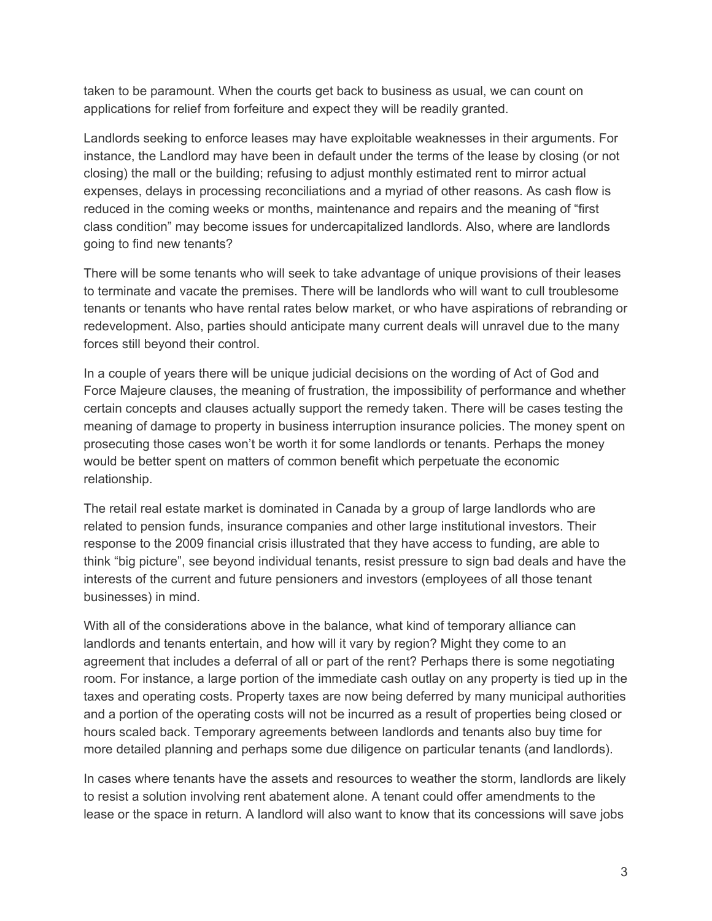taken to be paramount. When the courts get back to business as usual, we can count on applications for relief from forfeiture and expect they will be readily granted.

Landlords seeking to enforce leases may have exploitable weaknesses in their arguments. For instance, the Landlord may have been in default under the terms of the lease by closing (or not closing) the mall or the building; refusing to adjust monthly estimated rent to mirror actual expenses, delays in processing reconciliations and a myriad of other reasons. As cash flow is reduced in the coming weeks or months, maintenance and repairs and the meaning of "first class condition" may become issues for undercapitalized landlords. Also, where are landlords going to find new tenants?

There will be some tenants who will seek to take advantage of unique provisions of their leases to terminate and vacate the premises. There will be landlords who will want to cull troublesome tenants or tenants who have rental rates below market, or who have aspirations of rebranding or redevelopment. Also, parties should anticipate many current deals will unravel due to the many forces still beyond their control.

In a couple of years there will be unique judicial decisions on the wording of Act of God and Force Majeure clauses, the meaning of frustration, the impossibility of performance and whether certain concepts and clauses actually support the remedy taken. There will be cases testing the meaning of damage to property in business interruption insurance policies. The money spent on prosecuting those cases won't be worth it for some landlords or tenants. Perhaps the money would be better spent on matters of common benefit which perpetuate the economic relationship.

The retail real estate market is dominated in Canada by a group of large landlords who are related to pension funds, insurance companies and other large institutional investors. Their response to the 2009 financial crisis illustrated that they have access to funding, are able to think "big picture", see beyond individual tenants, resist pressure to sign bad deals and have the interests of the current and future pensioners and investors (employees of all those tenant businesses) in mind.

With all of the considerations above in the balance, what kind of temporary alliance can landlords and tenants entertain, and how will it vary by region? Might they come to an agreement that includes a deferral of all or part of the rent? Perhaps there is some negotiating room. For instance, a large portion of the immediate cash outlay on any property is tied up in the taxes and operating costs. Property taxes are now being deferred by many municipal authorities and a portion of the operating costs will not be incurred as a result of properties being closed or hours scaled back. Temporary agreements between landlords and tenants also buy time for more detailed planning and perhaps some due diligence on particular tenants (and landlords).

In cases where tenants have the assets and resources to weather the storm, landlords are likely to resist a solution involving rent abatement alone. A tenant could offer amendments to the lease or the space in return. A landlord will also want to know that its concessions will save jobs